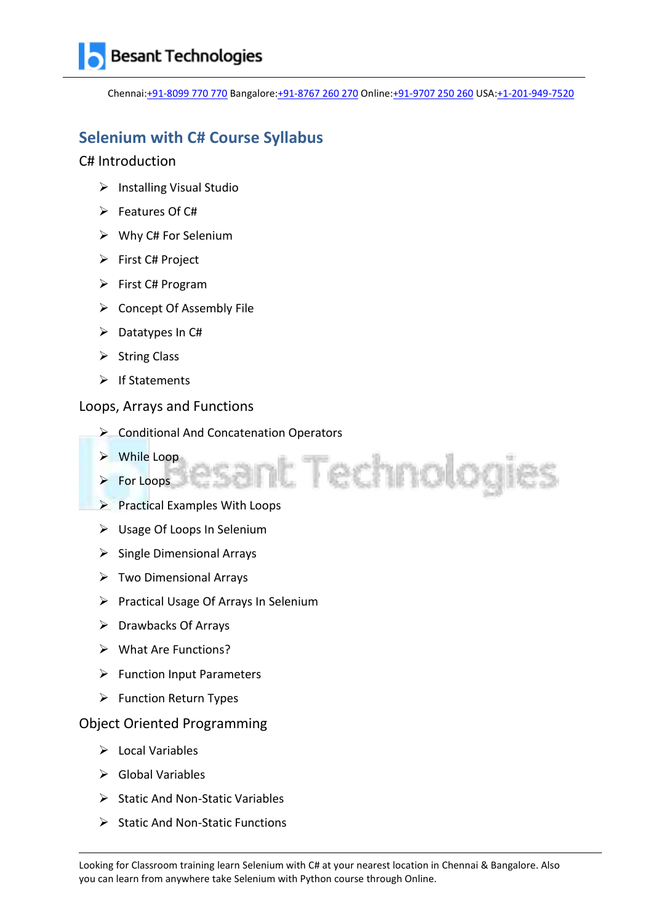Chennai[:+91-8099 770 770](tel:+91-8099770770) Bangalore[:+91-8767 260 270](tel:+91-8767260270) Online[:+91-9707 250 260](tel:+91-9707250260) USA[:+1-201-949-7520](tel:+1-201-949-7520) 

sant Technologies

### **Selenium with C# Course Syllabus**

### C# Introduction

- $\triangleright$  Installing Visual Studio
- $\triangleright$  Features Of C#
- $\triangleright$  Why C# For Selenium
- $\triangleright$  First C# Project
- $\triangleright$  First C# Program
- $\triangleright$  Concept Of Assembly File
- $\triangleright$  Datatypes In C#
- $\triangleright$  String Class
- $\triangleright$  If Statements

### Loops, Arrays and Functions

- ▶ Conditional And Concatenation Operators
- While Loop
- $\triangleright$  For Loops
- $\triangleright$  Practical Examples With Loops
- Usage Of Loops In Selenium
- $\triangleright$  Single Dimensional Arrays
- $\triangleright$  Two Dimensional Arrays
- $\triangleright$  Practical Usage Of Arrays In Selenium
- $\triangleright$  Drawbacks Of Arrays
- What Are Functions?
- $\triangleright$  Function Input Parameters
- $\triangleright$  Function Return Types

### Object Oriented Programming

- $\triangleright$  Local Variables
- $\triangleright$  Global Variables
- $\triangleright$  Static And Non-Static Variables
- $\triangleright$  Static And Non-Static Functions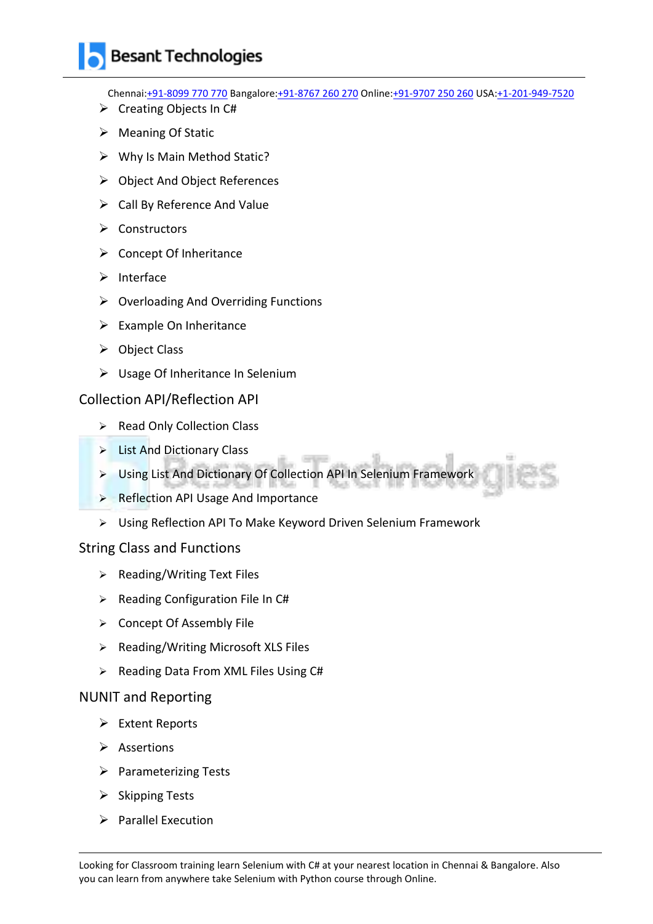Chennai[:+91-8099 770 770](tel:+91-8099770770) Bangalore[:+91-8767 260 270](tel:+91-8767260270) Online[:+91-9707 250 260](tel:+91-9707250260) USA[:+1-201-949-7520](tel:+1-201-949-7520) 

- $\triangleright$  Creating Objects In C#
- $\triangleright$  Meaning Of Static
- $\triangleright$  Why Is Main Method Static?
- Object And Object References
- $\triangleright$  Call By Reference And Value
- $\triangleright$  Constructors
- $\triangleright$  Concept Of Inheritance
- $\triangleright$  Interface
- $\triangleright$  Overloading And Overriding Functions
- $\triangleright$  Example On Inheritance
- $\triangleright$  Object Class
- Usage Of Inheritance In Selenium

#### Collection API/Reflection API

- ▶ Read Only Collection Class
- $\triangleright$  List And Dictionary Class
- Using List And Dictionary Of Collection API In Selenium Framework
- **Reflection API Usage And Importance**
- Using Reflection API To Make Keyword Driven Selenium Framework

#### String Class and Functions

- $\triangleright$  Reading/Writing Text Files
- $\triangleright$  Reading Configuration File In C#
- $\triangleright$  Concept Of Assembly File
- $\triangleright$  Reading/Writing Microsoft XLS Files
- $\triangleright$  Reading Data From XML Files Using C#

#### NUNIT and Reporting

- $\triangleright$  Extent Reports
- $\triangleright$  Assertions
- $\triangleright$  Parameterizing Tests
- $\triangleright$  Skipping Tests
- $\triangleright$  Parallel Execution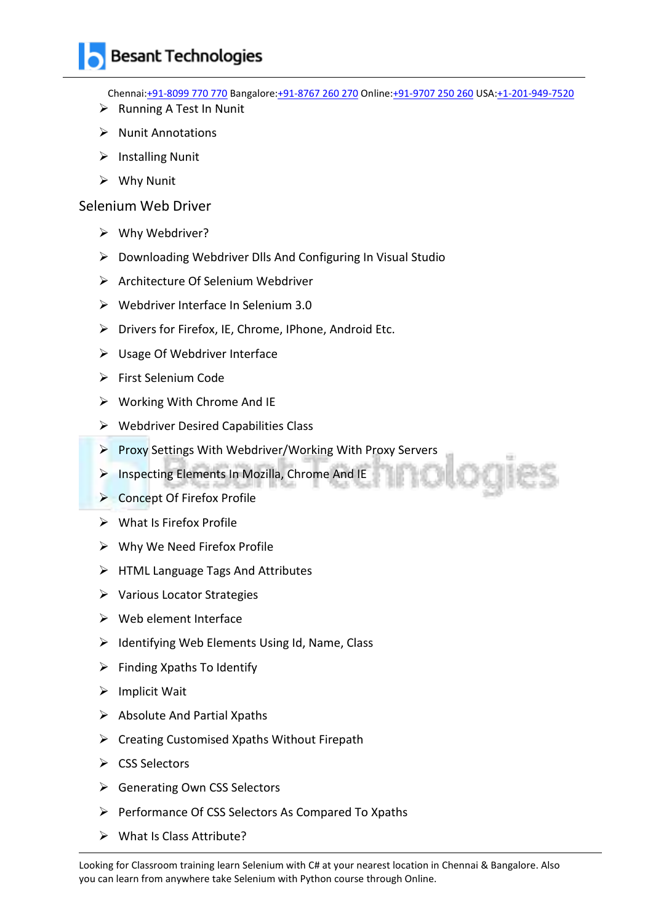Chennai[:+91-8099 770 770](tel:+91-8099770770) Bangalore[:+91-8767 260 270](tel:+91-8767260270) Online[:+91-9707 250 260](tel:+91-9707250260) USA[:+1-201-949-7520](tel:+1-201-949-7520) 

- $\triangleright$  Running A Test In Nunit
- $\triangleright$  Nunit Annotations
- $\triangleright$  Installing Nunit
- Why Nunit

Selenium Web Driver

- Why Webdriver?
- $\triangleright$  Downloading Webdriver Dlls And Configuring In Visual Studio
- Architecture Of Selenium Webdriver
- $\triangleright$  Webdriver Interface In Selenium 3.0
- $\triangleright$  Drivers for Firefox, IE, Chrome, IPhone, Android Etc.
- Usage Of Webdriver Interface
- First Selenium Code
- $\triangleright$  Working With Chrome And IE
- $\triangleright$  Webdriver Desired Capabilities Class
- Proxy Settings With Webdriver/Working With Proxy Servers
- > Inspecting Elements In Mozilla, Chrome And IE
- ▶ Concept Of Firefox Profile
- $\triangleright$  What Is Firefox Profile
- Why We Need Firefox Profile
- $\triangleright$  HTML Language Tags And Attributes
- Various Locator Strategies
- $\triangleright$  Web element Interface
- $\triangleright$  Identifying Web Elements Using Id, Name, Class
- $\triangleright$  Finding Xpaths To Identify
- $\triangleright$  Implicit Wait
- $\triangleright$  Absolute And Partial Xpaths
- $\triangleright$  Creating Customised Xpaths Without Firepath
- $\triangleright$  CSS Selectors
- **►** Generating Own CSS Selectors
- $\triangleright$  Performance Of CSS Selectors As Compared To Xpaths
- What Is Class Attribute?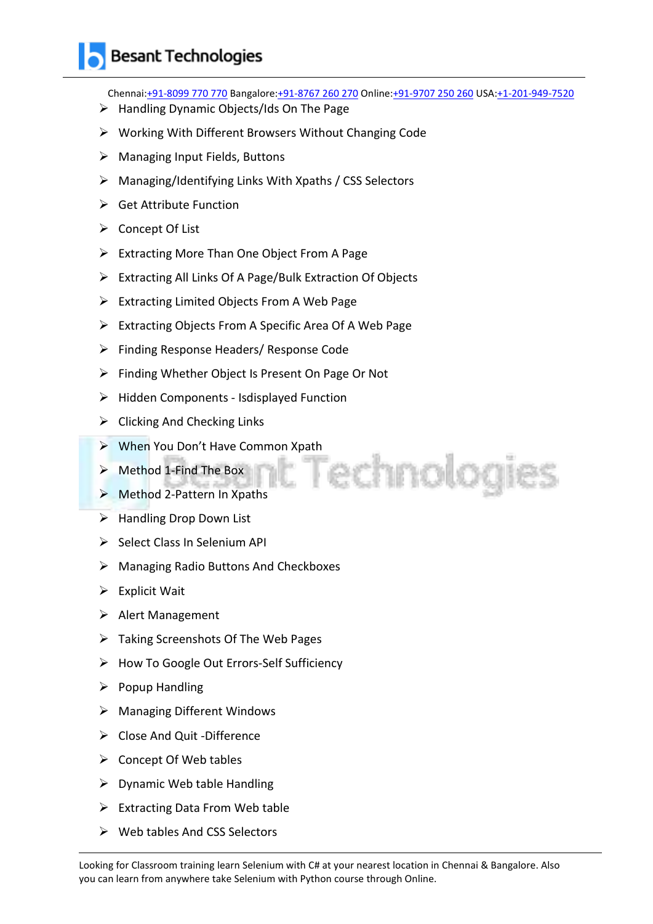Chennai[:+91-8099 770 770](tel:+91-8099770770) Bangalore[:+91-8767 260 270](tel:+91-8767260270) Online[:+91-9707 250 260](tel:+91-9707250260) USA[:+1-201-949-7520](tel:+1-201-949-7520) 

Technologies

- $\triangleright$  Handling Dynamic Objects/Ids On The Page
- Working With Different Browsers Without Changing Code
- $\triangleright$  Managing Input Fields, Buttons
- $\triangleright$  Managing/Identifying Links With Xpaths / CSS Selectors
- $\triangleright$  Get Attribute Function
- $\triangleright$  Concept Of List
- $\triangleright$  Extracting More Than One Object From A Page
- Extracting All Links Of A Page/Bulk Extraction Of Objects
- $\triangleright$  Extracting Limited Objects From A Web Page
- $\triangleright$  Extracting Objects From A Specific Area Of A Web Page
- Finding Response Headers/ Response Code
- Finding Whether Object Is Present On Page Or Not
- $\triangleright$  Hidden Components Isdisplayed Function
- $\triangleright$  Clicking And Checking Links
- When You Don't Have Common Xpath
- $\triangleright$  Method 1-Find The Box
- ▶ Method 2-Pattern In Xpaths
- $\triangleright$  Handling Drop Down List
- $\triangleright$  Select Class In Selenium API
- Managing Radio Buttons And Checkboxes
- $\triangleright$  Explicit Wait
- $\triangleright$  Alert Management
- $\triangleright$  Taking Screenshots Of The Web Pages
- > How To Google Out Errors-Self Sufficiency
- $\triangleright$  Popup Handling
- $\triangleright$  Managing Different Windows
- Close And Quit -Difference
- $\triangleright$  Concept Of Web tables
- $\triangleright$  Dynamic Web table Handling
- $\triangleright$  Extracting Data From Web table
- $\triangleright$  Web tables And CSS Selectors